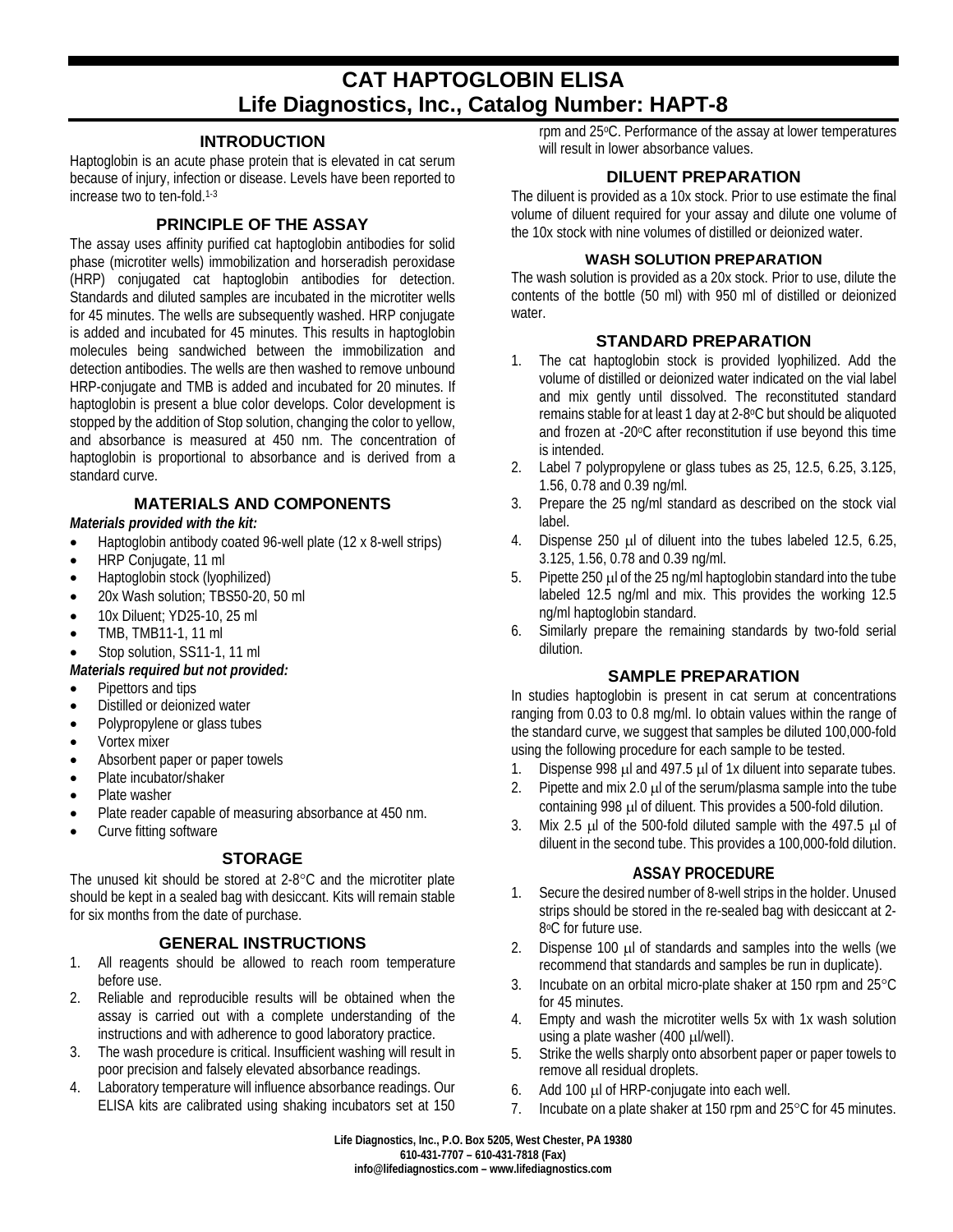# **CAT HAPTOGLOBIN ELISA Life Diagnostics, Inc., Catalog Number: HAPT-8**

## **INTRODUCTION**

Haptoglobin is an acute phase protein that is elevated in cat serum because of injury, infection or disease. Levels have been reported to increase two to ten-fold. 1-3

#### **PRINCIPLE OF THE ASSAY**

The assay uses affinity purified cat haptoglobin antibodies for solid phase (microtiter wells) immobilization and horseradish peroxidase (HRP) conjugated cat haptoglobin antibodies for detection. Standards and diluted samples are incubated in the microtiter wells for 45 minutes. The wells are subsequently washed. HRP conjugate is added and incubated for 45 minutes. This results in haptoglobin molecules being sandwiched between the immobilization and detection antibodies. The wells are then washed to remove unbound HRP-conjugate and TMB is added and incubated for 20 minutes. If haptoglobin is present a blue color develops. Color development is stopped by the addition of Stop solution, changing the color to yellow, and absorbance is measured at 450 nm. The concentration of haptoglobin is proportional to absorbance and is derived from a standard curve.

# **MATERIALS AND COMPONENTS**

#### *Materials provided with the kit:*

- Haptoglobin antibody coated 96-well plate (12 x 8-well strips)
- HRP Conjugate, 11 ml
- Haptoglobin stock (lyophilized)
- 20x Wash solution; TBS50-20, 50 ml
- 10x Diluent; YD25-10, 25 ml
- TMB, TMB11-1, 11 ml
- Stop solution, SS11-1, 11 ml

#### *Materials required but not provided:*

- Pipettors and tips
- Distilled or deionized water
- Polypropylene or glass tubes
- Vortex mixer
- Absorbent paper or paper towels
- Plate incubator/shaker
- Plate washer
- Plate reader capable of measuring absorbance at 450 nm.
- Curve fitting software

# **STORAGE**

The unused kit should be stored at 2-8°C and the microtiter plate should be kept in a sealed bag with desiccant. Kits will remain stable for six months from the date of purchase.

#### **GENERAL INSTRUCTIONS**

- 1. All reagents should be allowed to reach room temperature before use.
- 2. Reliable and reproducible results will be obtained when the assay is carried out with a complete understanding of the instructions and with adherence to good laboratory practice.
- 3. The wash procedure is critical. Insufficient washing will result in poor precision and falsely elevated absorbance readings.
- 4. Laboratory temperature will influence absorbance readings. Our ELISA kits are calibrated using shaking incubators set at 150

rpm and 25°C. Performance of the assay at lower temperatures will result in lower absorbance values.

#### **DILUENT PREPARATION**

The diluent is provided as a 10x stock. Prior to use estimate the final volume of diluent required for your assay and dilute one volume of the 10x stock with nine volumes of distilled or deionized water.

#### **WASH SOLUTION PREPARATION**

The wash solution is provided as a 20x stock. Prior to use, dilute the contents of the bottle (50 ml) with 950 ml of distilled or deionized water.

## **STANDARD PREPARATION**

- 1. The cat haptoglobin stock is provided lyophilized. Add the volume of distilled or deionized water indicated on the vial label and mix gently until dissolved. The reconstituted standard remains stable for at least 1 day at 2-8°C but should be aliquoted and frozen at -20°C after reconstitution if use beyond this time is intended.
- 2. Label 7 polypropylene or glass tubes as 25, 12.5, 6.25, 3.125, 1.56, 0.78 and 0.39 ng/ml.
- 3. Prepare the 25 ng/ml standard as described on the stock vial label.
- 4. Dispense 250 µl of diluent into the tubes labeled 12.5, 6.25, 3.125, 1.56, 0.78 and 0.39 ng/ml.
- 5. Pipette 250 µl of the 25 ng/ml haptoglobin standard into the tube labeled 12.5 ng/ml and mix. This provides the working 12.5 ng/ml haptoglobin standard.
- 6. Similarly prepare the remaining standards by two-fold serial dilution.

# **SAMPLE PREPARATION**

In studies haptoglobin is present in cat serum at concentrations ranging from 0.03 to 0.8 mg/ml. Io obtain values within the range of the standard curve, we suggest that samples be diluted 100,000-fold using the following procedure for each sample to be tested.

- 1. Dispense 998 µl and 497.5 µl of 1x diluent into separate tubes.
- 2. Pipette and mix 2.0  $\mu$  of the serum/plasma sample into the tube containing 998 µl of diluent. This provides a 500-fold dilution.
- 3. Mix 2.5 µl of the 500-fold diluted sample with the 497.5 µl of diluent in the second tube. This provides a 100,000-fold dilution.

#### **ASSAY PROCEDURE**

- 1. Secure the desired number of 8-well strips in the holder. Unused strips should be stored in the re-sealed bag with desiccant at 2- 8oC for future use.
- 2. Dispense 100  $\mu$  of standards and samples into the wells (we recommend that standards and samples be run in duplicate).
- 3. Incubate on an orbital micro-plate shaker at 150 rpm and 25°C for 45 minutes.
- 4. Empty and wash the microtiter wells 5x with 1x wash solution using a plate washer  $(400 \mu$ l/well).
- 5. Strike the wells sharply onto absorbent paper or paper towels to remove all residual droplets.
- 6. Add 100 µl of HRP-conjugate into each well.
- 7. Incubate on a plate shaker at 150 rpm and 25°C for 45 minutes.

**Life Diagnostics, Inc., P.O. Box 5205, West Chester, PA 19380 610-431-7707 – 610-431-7818 (Fax) info@lifediagnostics.com – www.lifediagnostics.com**